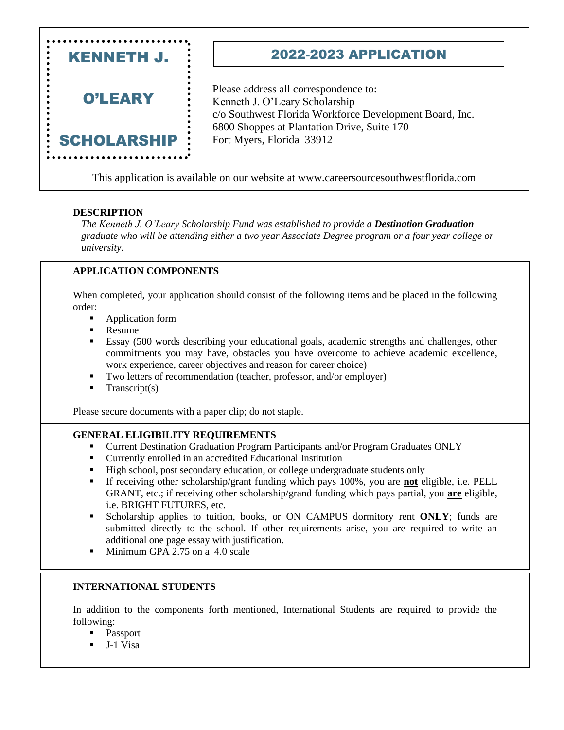

This application is available on our website at www.careersourcesouthwestflorida.com

## **DESCRIPTION**

*The Kenneth J. O'Leary Scholarship Fund was established to provide a Destination Graduation graduate who will be attending either a two year Associate Degree program or a four year college or university.*

## **APPLICATION COMPONENTS**

When completed, your application should consist of the following items and be placed in the following order:

- Application form
- Resume
- Essay (500 words describing your educational goals, academic strengths and challenges, other commitments you may have, obstacles you have overcome to achieve academic excellence, work experience, career objectives and reason for career choice)
- Two letters of recommendation (teacher, professor, and/or employer)
- $Transcript(s)$

Please secure documents with a paper clip; do not staple.

### **GENERAL ELIGIBILITY REQUIREMENTS**

- Current Destination Graduation Program Participants and/or Program Graduates ONLY
- Currently enrolled in an accredited Educational Institution
- High school, post secondary education, or college undergraduate students only
- If receiving other scholarship/grant funding which pays 100%, you are **not** eligible, i.e. PELL GRANT, etc.; if receiving other scholarship/grand funding which pays partial, you **are** eligible, i.e. BRIGHT FUTURES, etc.
- Scholarship applies to tuition, books, or ON CAMPUS dormitory rent ONLY; funds are submitted directly to the school. If other requirements arise, you are required to write an additional one page essay with justification.
- Minimum GPA 2.75 on a 4.0 scale

### **INTERNATIONAL STUDENTS**

In addition to the components forth mentioned, International Students are required to provide the following:

- Passport
- J-1 Visa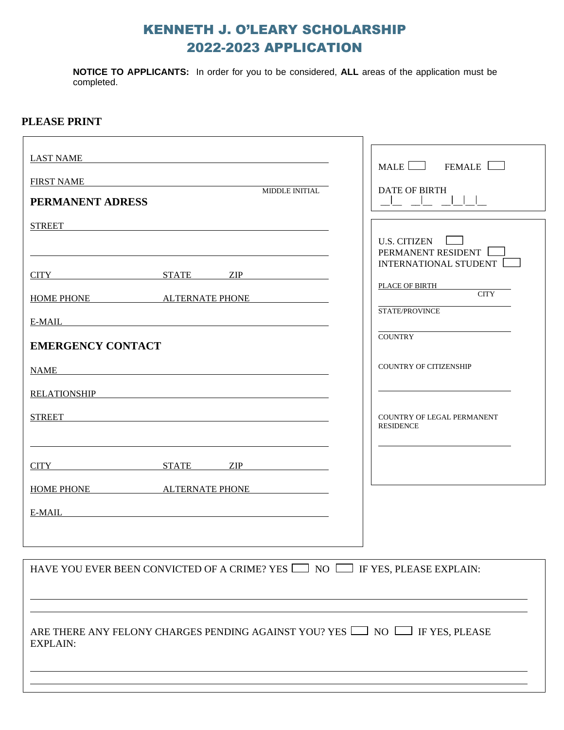# KENNETH J. O'LEARY SCHOLARSHIP 2022-2023 APPLICATION

**NOTICE TO APPLICANTS:** In order for you to be considered, **ALL** areas of the application must be completed.

## **PLEASE PRINT**

| LAST NAME<br><u> 1989 - Johann Stein, fransk politik (f. 1989)</u>                                       | MALE <b>NAME</b><br>FEMALE                                  |  |
|----------------------------------------------------------------------------------------------------------|-------------------------------------------------------------|--|
| <b>FIRST NAME</b><br><u> 1989 - John Stein, Amerikaansk politiker (</u>                                  |                                                             |  |
| MIDDLE INITIAL<br>PERMANENT ADRESS                                                                       | <b>DATE OF BIRTH</b>                                        |  |
| <b>STREET</b>                                                                                            |                                                             |  |
|                                                                                                          | U.S. CITIZEN<br>PERMANENT RESIDENT<br>INTERNATIONAL STUDENT |  |
| CITY STATE ZIP                                                                                           | PLACE OF BIRTH                                              |  |
| HOME PHONE ALTERNATE PHONE                                                                               | <b>CITY</b><br>STATE/PROVINCE                               |  |
| E-MAIL                                                                                                   |                                                             |  |
| <b>EMERGENCY CONTACT</b>                                                                                 | <b>COUNTRY</b>                                              |  |
| <b>NAME</b>                                                                                              | COUNTRY OF CITIZENSHIP                                      |  |
| RELATIONSHIP <b>EXAMPLE 2008</b>                                                                         |                                                             |  |
| <b>STREET</b>                                                                                            | COUNTRY OF LEGAL PERMANENT<br><b>RESIDENCE</b>              |  |
|                                                                                                          |                                                             |  |
| CITY STATE ZIP                                                                                           |                                                             |  |
| HOME PHONE ALTERNATE PHONE                                                                               |                                                             |  |
|                                                                                                          |                                                             |  |
|                                                                                                          |                                                             |  |
| HAVE YOU EVER BEEN CONVICTED OF A CRIME? YES $\Box$ NO $\Box$ IF YES, PLEASE EXPLAIN:                    |                                                             |  |
|                                                                                                          |                                                             |  |
| ARE THERE ANY FELONY CHARGES PENDING AGAINST YOU? YES $\Box$ NO $\Box$ IF YES, PLEASE<br><b>EXPLAIN:</b> |                                                             |  |
|                                                                                                          |                                                             |  |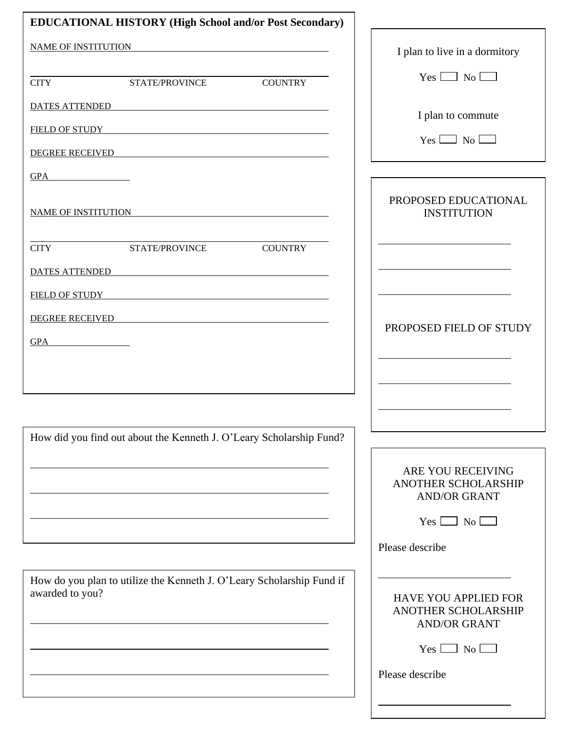| <b>EDUCATIONAL HISTORY (High School and/or Post Secondary)</b>                                                                                                                                                                 |                                                                           |
|--------------------------------------------------------------------------------------------------------------------------------------------------------------------------------------------------------------------------------|---------------------------------------------------------------------------|
| <b>NAME OF INSTITUTION</b><br><u> 1989 - John Stein, Amerikaansk politiker (</u> † 1920)                                                                                                                                       | I plan to live in a dormitory                                             |
| <b>COUNTRY</b><br><b>CITY</b><br>STATE/PROVINCE                                                                                                                                                                                | $Yes \Box No \Box$                                                        |
| DATES ATTENDED AND A SERIES AT THE RESERVE AND A SERIES AT THE RESERVE AND A SERIES AT THE RESERVE AND A SERIES AND A SERIES OF A SERIES OF A SERIES OF A SERIES OF A SERIES OF A SERIES OF A SERIES OF A SERIES OF A SERIES O |                                                                           |
| FIELD OF STUDY THE STUDY THE STUDY THE STUDY THE STUDY THE STUDY THE STUDY THE STUDY THE STUDY OF STUDY THE STUDY OF STUDY THE STUDY OF STUDY OF STUDY OF STUDY OF STUDY OF STUDY OF STUDY OF STUDY OF STUDY OF STUDY OF STUDY | I plan to commute                                                         |
| <b>DEGREE RECEIVED</b>                                                                                                                                                                                                         | $Yes \Box No \Box$                                                        |
|                                                                                                                                                                                                                                |                                                                           |
| <b>NAME OF INSTITUTION</b><br><u> 1989 - John Stein, Amerikaansk politiker (</u>                                                                                                                                               | PROPOSED EDUCATIONAL<br><b>INSTITUTION</b>                                |
| <b>COUNTRY</b><br><b>CITY</b><br>STATE/PROVINCE                                                                                                                                                                                |                                                                           |
| <b>DATES ATTENDED</b><br><u> 1980 - Johann Stoff, deutscher Stoffen und der Stoffen und der Stoffen und der Stoffen und der Stoffen und der</u>                                                                                |                                                                           |
| FIELD OF STUDY THE RESERVE THE RESERVE THE RESERVE THE RESERVE THE RESERVE THE RESERVE THE RESERVE THE RESERVE THE RESERVE THE RESERVE THE RESERVE THE RESERVE THE RESERVE THAT A STANDARD THE RESERVE THAT A STANDARD THE RES |                                                                           |
| <b>DEGREE RECEIVED</b><br><u> 1989 - Johann Stoff, deutscher Stoff, der Stoff, der Stoff, der Stoff, der Stoff, der Stoff, der Stoff, der S</u>                                                                                | PROPOSED FIELD OF STUDY                                                   |
| $GPA$ $\qquad \qquad$                                                                                                                                                                                                          |                                                                           |
|                                                                                                                                                                                                                                |                                                                           |
|                                                                                                                                                                                                                                |                                                                           |
|                                                                                                                                                                                                                                |                                                                           |
| How did you find out about the Kenneth J. O'Leary Scholarship Fund?                                                                                                                                                            |                                                                           |
|                                                                                                                                                                                                                                | ARE YOU RECEIVING<br>ANOTHER SCHOLARSHIP<br><b>AND/OR GRANT</b>           |
|                                                                                                                                                                                                                                | $Yes \Box No \Box$                                                        |
|                                                                                                                                                                                                                                | Please describe                                                           |
|                                                                                                                                                                                                                                |                                                                           |
| How do you plan to utilize the Kenneth J. O'Leary Scholarship Fund if<br>awarded to you?                                                                                                                                       | <b>HAVE YOU APPLIED FOR</b><br>ANOTHER SCHOLARSHIP<br><b>AND/OR GRANT</b> |
|                                                                                                                                                                                                                                | $Yes \Box No \Box$                                                        |
|                                                                                                                                                                                                                                | Please describe                                                           |
|                                                                                                                                                                                                                                |                                                                           |